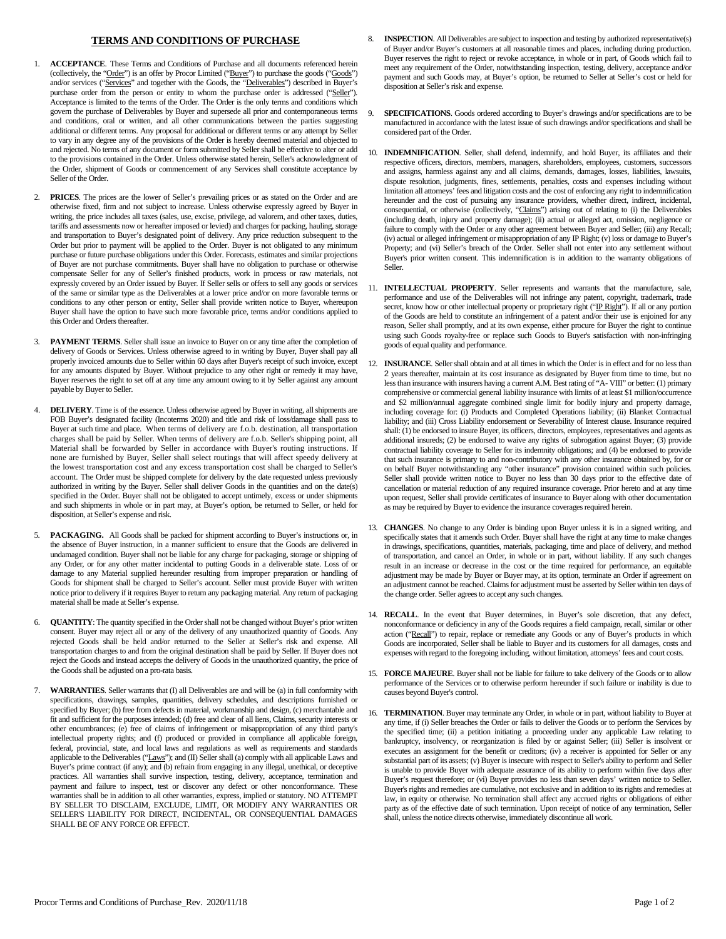## **TERMS AND CONDITIONS OF PURCHASE**

- 1. **ACCEPTANCE**. These Terms and Conditions of Purchase and all documents referenced herein (collectively, the "Order") is an offer by Procor Limited ("Buyer") to purchase the goods ("Goods") and/or services ("Services" and together with the Goods, the "Deliverables") described in Buyer's purchase order from the person or entity to whom the purchase order is addressed ("Seller"). Acceptance is limited to the terms of the Order. The Order is the only terms and conditions which govern the purchase of Deliverables by Buyer and supersede all prior and contemporaneous terms and conditions, oral or written, and all other communications between the parties suggesting additional or different terms. Any proposal for additional or different terms or any attempt by Seller to vary in any degree any of the provisions of the Order is hereby deemed material and objected to and rejected. No terms of any document or form submitted by Seller shall be effective to alter or add to the provisions contained in the Order. Unless otherwise stated herein, Seller's acknowledgment of the Order, shipment of Goods or commencement of any Services shall constitute acceptance by Seller of the Order.
- 2. **PRICES**. The prices are the lower of Seller's prevailing prices or as stated on the Order and are otherwise fixed, firm and not subject to increase. Unless otherwise expressly agreed by Buyer in writing, the price includes all taxes (sales, use, excise, privilege, ad valorem, and other taxes, duties, tariffs and assessments now or hereafter imposed or levied) and charges for packing, hauling, storage and transportation to Buyer's designated point of delivery. Any price reduction subsequent to the Order but prior to payment will be applied to the Order. Buyer is not obligated to any minimum purchase or future purchase obligations under this Order. Forecasts, estimates and similar projections of Buyer are not purchase commitments. Buyer shall have no obligation to purchase or otherwise compensate Seller for any of Seller's finished products, work in process or raw materials, not expressly covered by an Order issued by Buyer. If Seller sells or offers to sell any goods or services of the same or similar type as the Deliverables at a lower price and/or on more favorable terms or conditions to any other person or entity, Seller shall provide written notice to Buyer, whereupon Buyer shall have the option to have such more favorable price, terms and/or conditions applied to this Order and Orders thereafter.
- 3. **PAYMENT TERMS**. Seller shall issue an invoice to Buyer on or any time after the completion of delivery of Goods or Services. Unless otherwise agreed to in writing by Buyer, Buyer shall pay all properly invoiced amounts due to Seller within 60 days after Buyer's receipt of such invoice, except for any amounts disputed by Buyer. Without prejudice to any other right or remedy it may have, Buyer reserves the right to set off at any time any amount owing to it by Seller against any amount payable by Buyer to Seller.
- 4. **DELIVERY**. Time is of the essence. Unless otherwise agreed by Buyer in writing, all shipments are FOB Buyer's designated facility (Incoterms 2020) and title and risk of loss/damage shall pass to Buyer at such time and place. When terms of delivery are f.o.b. destination, all transportation charges shall be paid by Seller. When terms of delivery are f.o.b. Seller's shipping point, all Material shall be forwarded by Seller in accordance with Buyer's routing instructions. If none are furnished by Buyer, Seller shall select routings that will affect speedy delivery at the lowest transportation cost and any excess transportation cost shall be charged to Seller's account. The Order must be shipped complete for delivery by the date requested unless previously authorized in writing by the Buyer. Seller shall deliver Goods in the quantities and on the date(s) specified in the Order. Buyer shall not be obligated to accept untimely, excess or under shipments and such shipments in whole or in part may, at Buyer's option, be returned to Seller, or held for disposition, at Seller's expense and risk.
- PACKAGING. All Goods shall be packed for shipment according to Buyer's instructions or, in the absence of Buyer instruction, in a manner sufficient to ensure that the Goods are delivered in undamaged condition. Buyer shall not be liable for any charge for packaging, storage or shipping of any Order, or for any other matter incidental to putting Goods in a deliverable state. Loss of or damage to any Material supplied hereunder resulting from improper preparation or handling of Goods for shipment shall be charged to Seller's account. Seller must provide Buyer with written notice prior to delivery if it requires Buyer to return any packaging material. Any return of packaging material shall be made at Seller's expense.
- 6. **QUANTITY**: The quantity specified in the Order shall not be changed without Buyer's prior written consent. Buyer may reject all or any of the delivery of any unauthorized quantity of Goods. Any rejected Goods shall be held and/or returned to the Seller at Seller's risk and expense. All transportation charges to and from the original destination shall be paid by Seller. If Buyer does not reject the Goods and instead accepts the delivery of Goods in the unauthorized quantity, the price of the Goods shall be adjusted on a pro-rata basis.
- 7. **WARRANTIES**. Seller warrants that (I) all Deliverables are and will be (a) in full conformity with specifications, drawings, samples, quantities, delivery schedules, and descriptions furnished or specified by Buyer; (b) free from defects in material, workmanship and design, (c) merchantable and fit and sufficient for the purposes intended; (d) free and clear of all liens, Claims, security interests or other encumbrances; (e) free of claims of infringement or misappropriation of any third party's intellectual property rights; and (f) produced or provided in compliance all applicable foreign, federal, provincial, state, and local laws and regulations as well as requirements and standards applicable to the Deliverables ("Laws"); and (II) Seller shall (a) comply with all applicable Laws and Buyer's prime contract (if any); and (b) refrain from engaging in any illegal, unethical, or deceptive practices. All warranties shall survive inspection, testing, delivery, acceptance, termination and payment and failure to inspect, test or discover any defect or other nonconformance. These warranties shall be in addition to all other warranties, express, implied or statutory. NO ATTEMPT BY SELLER TO DISCLAIM, EXCLUDE, LIMIT, OR MODIFY ANY WARRANTIES OR SELLER'S LIABILITY FOR DIRECT, INCIDENTAL, OR CONSEQUENTIAL DAMAGES SHALL BE OF ANY FORCE OR EFFECT.
- 8. **INSPECTION**. All Deliverables are subject to inspection and testing by authorized representative(s) of Buyer and/or Buyer's customers at all reasonable times and places, including during production. Buyer reserves the right to reject or revoke acceptance, in whole or in part, of Goods which fail to meet any requirement of the Order, notwithstanding inspection, testing, delivery, acceptance and/or payment and such Goods may, at Buyer's option, be returned to Seller at Seller's cost or held for disposition at Seller's risk and expense.
- 9. **SPECIFICATIONS**. Goods ordered according to Buyer's drawings and/or specifications are to be manufactured in accordance with the latest issue of such drawings and/or specifications and shall be considered part of the Order.
- 10. **INDEMNIFICATION**. Seller, shall defend, indemnify, and hold Buyer, its affiliates and their respective officers, directors, members, managers, shareholders, employees, customers, successors and assigns, harmless against any and all claims, demands, damages, losses, liabilities, lawsuits, dispute resolution, judgments, fines, settlements, penalties, costs and expenses including without limitation all attorneys' fees and litigation costs and the cost of enforcing any right to indemnification hereunder and the cost of pursuing any insurance providers, whether direct, indirect, incidental, consequential, or otherwise (collectively, "Claims") arising out of relating to (i) the Deliverables (including death, injury and property damage); (ii) actual or alleged act, omission, negligence or failure to comply with the Order or any other agreement between Buyer and Seller; (iii) any Recall; (iv) actual or alleged infringement or misappropriation of any IP Right; (v) loss or damage to Buyer's Property; and (vi) Seller's breach of the Order. Seller shall not enter into any settlement without Buyer's prior written consent. This indemnification is in addition to the warranty obligations of Seller.
- 11. **INTELLECTUAL PROPERTY**. Seller represents and warrants that the manufacture, sale, performance and use of the Deliverables will not infringe any patent, copyright, trademark, trade secret, know how or other intellectual property or proprietary right ("IP Right"). If all or any portion of the Goods are held to constitute an infringement of a patent and/or their use is enjoined for any reason, Seller shall promptly, and at its own expense, either procure for Buyer the right to continue using such Goods royalty-free or replace such Goods to Buyer's satisfaction with non-infringing goods of equal quality and performance.
- 12. **INSURANCE**. Seller shall obtain and at all times in which the Order is in effect and for no less than 2 years thereafter, maintain at its cost insurance as designated by Buyer from time to time, but no less than insurance with insurers having a current A.M. Best rating of "A- VIII" or better: (1) primary comprehensive or commercial general liability insurance with limits of at least \$1 million/occurrence and \$2 million/annual aggregate combined single limit for bodily injury and property damage, including coverage for: (i) Products and Completed Operations liability; (ii) Blanket Contractual liability; and (iii) Cross Liability endorsement or Severability of Interest clause. Insurance required shall: (1) be endorsed to insure Buyer, its officers, directors, employees, representatives and agents as additional insureds; (2) be endorsed to waive any rights of subrogation against Buyer; (3) provide contractual liability coverage to Seller for its indemnity obligations; and (4) be endorsed to provide that such insurance is primary to and non-contributory with any other insurance obtained by, for or on behalf Buyer notwithstanding any "other insurance" provision contained within such policies. Seller shall provide written notice to Buyer no less than 30 days prior to the effective date of cancellation or material reduction of any required insurance coverage. Prior hereto and at any time upon request, Seller shall provide certificates of insurance to Buyer along with other documentation as may be required by Buyer to evidence the insurance coverages required herein.
- 13. **CHANGES**. No change to any Order is binding upon Buyer unless it is in a signed writing, and specifically states that it amends such Order. Buyer shall have the right at any time to make changes in drawings, specifications, quantities, materials, packaging, time and place of delivery, and method of transportation, and cancel an Order, in whole or in part, without liability. If any such changes result in an increase or decrease in the cost or the time required for performance, an equitable adjustment may be made by Buyer or Buyer may, at its option, terminate an Order if agreement on an adjustment cannot be reached. Claims for adjustment must be asserted by Seller within ten days of the change order. Seller agrees to accept any such changes.
- 14. **RECALL**. In the event that Buyer determines, in Buyer's sole discretion, that any defect, nonconformance or deficiency in any of the Goods requires a field campaign, recall, similar or other action ("Recall") to repair, replace or remediate any Goods or any of Buyer's products in which Goods are incorporated, Seller shall be liable to Buyer and its customers for all damages, costs and expenses with regard to the foregoing including, without limitation, attorneys' fees and court costs.
- 15. **FORCE MAJEURE**. Buyer shall not be liable for failure to take delivery of the Goods or to allow performance of the Services or to otherwise perform hereunder if such failure or inability is due to causes beyond Buyer's control.
- 16. **TERMINATION**. Buyer may terminate any Order, in whole or in part, without liability to Buyer at any time, if (i) Seller breaches the Order or fails to deliver the Goods or to perform the Services by the specified time; (ii) a petition initiating a proceeding under any applicable Law relating to bankruptcy, insolvency, or reorganization is filed by or against Seller; (iii) Seller is insolvent or executes an assignment for the benefit or creditors; (iv) a receiver is appointed for Seller or any substantial part of its assets; (v) Buyer is insecure with respect to Seller's ability to perform and Seller is unable to provide Buyer with adequate assurance of its ability to perform within five days after Buyer's request therefore; or (vi) Buyer provides no less than seven days' written notice to Seller. Buyer's rights and remedies are cumulative, not exclusive and in addition to its rights and remedies at law, in equity or otherwise. No termination shall affect any accrued rights or obligations of either party as of the effective date of such termination. Upon receipt of notice of any termination, Seller shall, unless the notice directs otherwise, immediately discontinue all work.